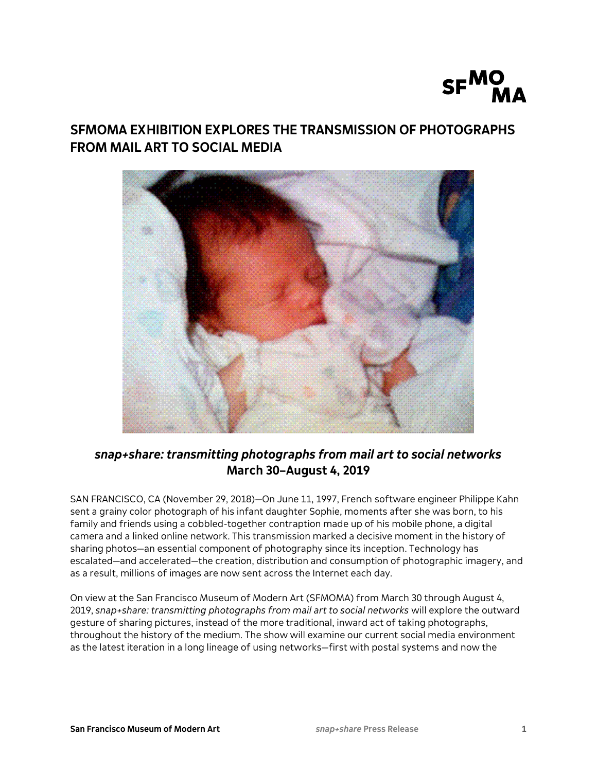

# **SFMOMA EXHIBITION EXPLORES THE TRANSMISSION OF PHOTOGRAPHS FROM MAIL ART TO SOCIAL MEDIA**



## *snap+share: transmitting photographs from mail art to social networks* **March 30–August 4, 2019**

SAN FRANCISCO, CA (November 29, 2018)—On June 11, 1997, French software engineer Philippe Kahn sent a grainy color photograph of his infant daughter Sophie, moments after she was born, to his family and friends using a cobbled-together contraption made up of his mobile phone, a digital camera and a linked online network. This transmission marked a decisive moment in the history of sharing photos—an essential component of photography since its inception. Technology has escalated—and accelerated—the creation, distribution and consumption of photographic imagery, and as a result, millions of images are now sent across the Internet each day.

On view at the San Francisco Museum of Modern Art (SFMOMA) from March 30 through August 4, 2019, *snap+share: transmitting photographs from mail art to social networks* will explore the outward gesture of sharing pictures, instead of the more traditional, inward act of taking photographs, throughout the history of the medium. The show will examine our current social media environment as the latest iteration in a long lineage of using networks—first with postal systems and now the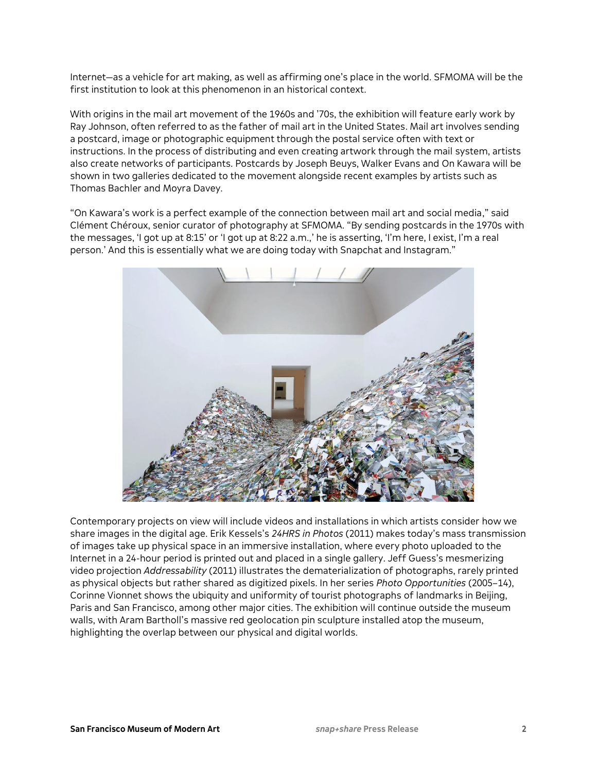Internet—as a vehicle for art making, as well as affirming one's place in the world. SFMOMA will be the first institution to look at this phenomenon in an historical context.

With origins in the mail art movement of the 1960s and '70s, the exhibition will feature early work by Ray Johnson, often referred to as the father of mail art in the United States. Mail art involves sending a postcard, image or photographic equipment through the postal service often with text or instructions. In the process of distributing and even creating artwork through the mail system, artists also create networks of participants. Postcards by Joseph Beuys, Walker Evans and On Kawara will be shown in two galleries dedicated to the movement alongside recent examples by artists such as Thomas Bachler and Moyra Davey.

"On Kawara's work is a perfect example of the connection between mail art and social media," said Clément Chéroux, senior curator of photography at SFMOMA. "By sending postcards in the 1970s with the messages, 'I got up at 8:15' or 'I got up at 8:22 a.m.,' he is asserting, 'I'm here, I exist, I'm a real person.' And this is essentially what we are doing today with Snapchat and Instagram."



Contemporary projects on view will include videos and installations in which artists consider how we share images in the digital age. Erik Kessels's *24HRS in Photos* (2011) makes today's mass transmission of images take up physical space in an immersive installation, where every photo uploaded to the Internet in a 24-hour period is printed out and placed in a single gallery. Jeff Guess's mesmerizing video projection *Addressability* (2011) illustrates the dematerialization of photographs, rarely printed as physical objects but rather shared as digitized pixels. In her series *Photo Opportunities* (2005–14), Corinne Vionnet shows the ubiquity and uniformity of tourist photographs of landmarks in Beijing, Paris and San Francisco, among other major cities. The exhibition will continue outside the museum walls, with Aram Bartholl's massive red geolocation pin sculpture installed atop the museum, highlighting the overlap between our physical and digital worlds.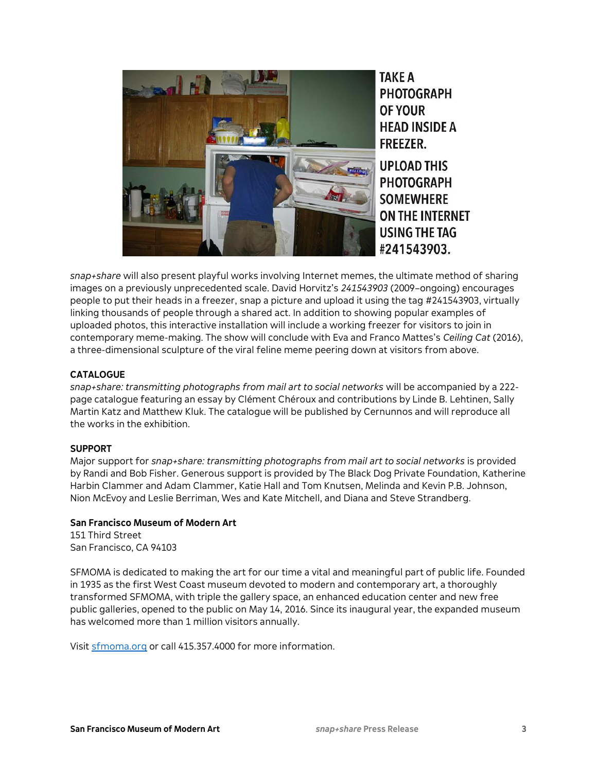

*snap+share* will also present playful works involving Internet memes, the ultimate method of sharing images on a previously unprecedented scale. David Horvitz's *241543903* (2009–ongoing) encourages people to put their heads in a freezer, snap a picture and upload it using the tag #241543903, virtually linking thousands of people through a shared act. In addition to showing popular examples of uploaded photos, this interactive installation will include a working freezer for visitors to join in contemporary meme-making. The show will conclude with Eva and Franco Mattes's *Ceiling Cat* (2016), a three-dimensional sculpture of the viral feline meme peering down at visitors from above.

### **CATALOGUE**

*snap+share: transmitting photographs from mail art to social networks* will be accompanied by a 222 page catalogue featuring an essay by Clément Chéroux and contributions by Linde B. Lehtinen, Sally Martin Katz and Matthew Kluk. The catalogue will be published by Cernunnos and will reproduce all the works in the exhibition.

#### **SUPPORT**

Major support for *snap+share: transmitting photographs from mail art to social networks* is provided by Randi and Bob Fisher. Generous support is provided by The Black Dog Private Foundation, Katherine Harbin Clammer and Adam Clammer, Katie Hall and Tom Knutsen, Melinda and Kevin P.B. Johnson, Nion McEvoy and Leslie Berriman, Wes and Kate Mitchell, and Diana and Steve Strandberg.

## **San Francisco Museum of Modern Art**

151 Third Street San Francisco, CA 94103

SFMOMA is dedicated to making the art for our time a vital and meaningful part of public life. Founded in 1935 as the first West Coast museum devoted to modern and contemporary art, a thoroughly transformed SFMOMA, with triple the gallery space, an enhanced education center and new free public galleries, opened to the public on May 14, 2016. Since its inaugural year, the expanded museum has welcomed more than 1 million visitors annually.

Visit [sfmoma.org](https://www.sfmoma.org/) or call 415.357.4000 for more information.